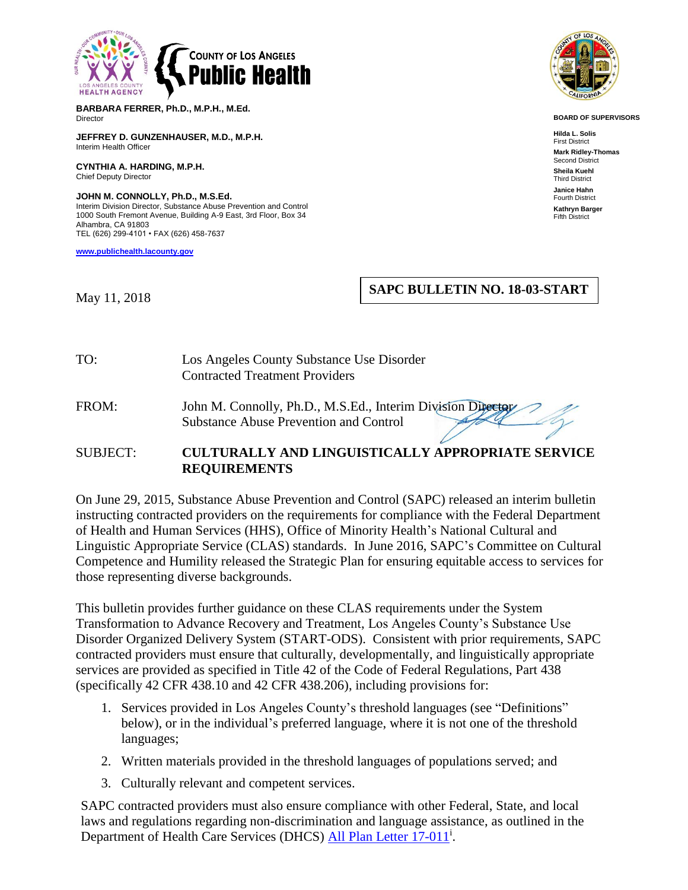

**BARBARA FERRER, Ph.D., M.P.H., M.Ed.** Director

**JEFFREY D. GUNZENHAUSER, M.D., M.P.H.** Interim Health Officer

**CYNTHIA A. HARDING, M.P.H.** Chief Deputy Director

**JOHN M. CONNOLLY, Ph.D., M.S.Ed.** Interim Division Director, Substance Abuse Prevention and Control 1000 South Fremont Avenue, Building A-9 East, 3rd Floor, Box 34 Alhambra, CA 91803 TEL (626) 299-4101 • FAX (626) 458-7637

**[www.publichealth.lacounty.gov](http://www.publichealth.lacounty.gov/)**



**BOARD OF SUPERVISORS**

**Hilda L. Solis** First District **Mark Ridley-Thomas** Second District **Sheila Kuehl** Third District **Janice Hahn** Fourth District **Kathryn Barger** Fifth District

May 11, 2018

## **SAPC BULLETIN NO. 18-03-START**

| TO: | Los Angeles County Substance Use Disorder |
|-----|-------------------------------------------|
|     | <b>Contracted Treatment Providers</b>     |

FROM: John M. Connolly, Ph.D., M.S.Ed., Interim Division Director Substance Abuse Prevention and Control

## SUBJECT: **CULTURALLY AND LINGUISTICALLY APPROPRIATE SERVICE REQUIREMENTS**

On June 29, 2015, Substance Abuse Prevention and Control (SAPC) released an interim bulletin instructing contracted providers on the requirements for compliance with the Federal Department of Health and Human Services (HHS), Office of Minority Health's National Cultural and Linguistic Appropriate Service (CLAS) standards. In June 2016, SAPC's Committee on Cultural Competence and Humility released the Strategic Plan for ensuring equitable access to services for those representing diverse backgrounds.

This bulletin provides further guidance on these CLAS requirements under the System Transformation to Advance Recovery and Treatment, Los Angeles County's Substance Use Disorder Organized Delivery System (START-ODS). Consistent with prior requirements, SAPC contracted providers must ensure that culturally, developmentally, and linguistically appropriate services are provided as specified in Title 42 of the Code of Federal Regulations, Part 438 (specifically 42 CFR 438.10 and 42 CFR 438.206), including provisions for:

- 1. Services provided in Los Angeles County's threshold languages (see "Definitions" below), or in the individual's preferred language, where it is not one of the threshold languages;
- 2. Written materials provided in the threshold languages of populations served; and
- 3. Culturally relevant and competent services.

SAPC contracted providers must also ensure compliance with other Federal, State, and local laws and regulations regarding non-discrimination and language assistance, as outlined in the Department of Health Care Services (DHCS) All Plan [Letter 17-011](http://www.dhcs.ca.gov/formsandpubs/Documents/MMCDAPLsandPolicyLetters/APL2017/APL17-011.pdf)<sup>i</sup>.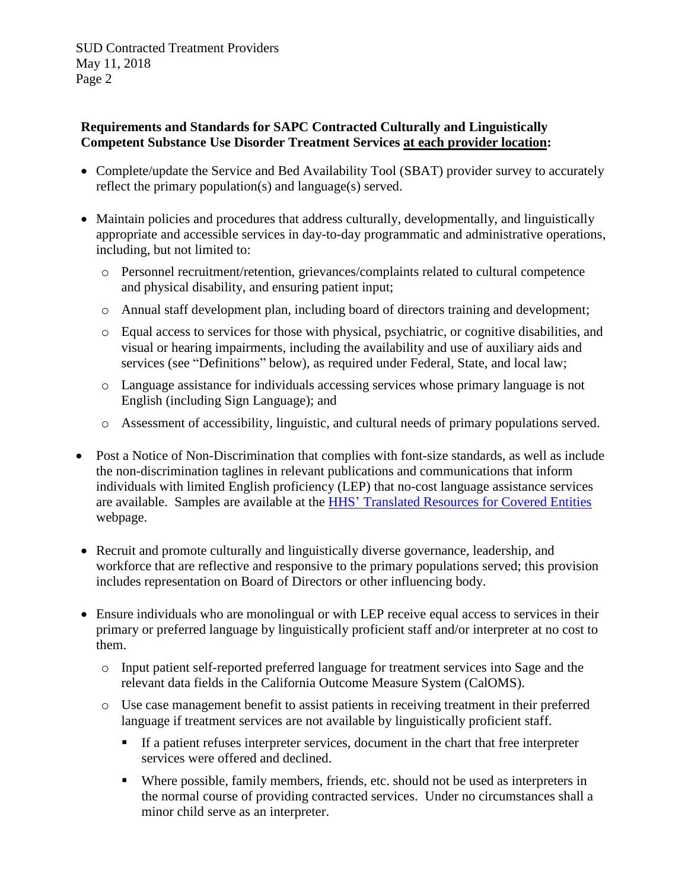## **Requirements and Standards for SAPC Contracted Culturally and Linguistically Competent Substance Use Disorder Treatment Services at each provider location:**

- Complete/update the Service and Bed Availability Tool (SBAT) provider survey to accurately reflect the primary population(s) and language(s) served.
- Maintain policies and procedures that address culturally, developmentally, and linguistically appropriate and accessible services in day-to-day programmatic and administrative operations, including, but not limited to:
	- o Personnel recruitment/retention, grievances/complaints related to cultural competence and physical disability, and ensuring patient input;
	- o Annual staff development plan, including board of directors training and development;
	- o Equal access to services for those with physical, psychiatric, or cognitive disabilities, and visual or hearing impairments, including the availability and use of auxiliary aids and services (see "Definitions" below), as required under Federal, State, and local law;
	- o Language assistance for individuals accessing services whose primary language is not English (including Sign Language); and
	- o Assessment of accessibility, linguistic, and cultural needs of primary populations served.
- Post a Notice of Non-Discrimination that complies with font-size standards, as well as include the non-discrimination taglines in relevant publications and communications that inform individuals with limited English proficiency (LEP) that no-cost language assistance services are available. Samples are available at the HHS' [Translated Resources for Covered Entities](https://www.hhs.gov/civil-rights/for-individuals/section-1557/translated-resources/index.html) webpage.
- Recruit and promote culturally and linguistically diverse governance, leadership, and workforce that are reflective and responsive to the primary populations served; this provision includes representation on Board of Directors or other influencing body.
- Ensure individuals who are monolingual or with LEP receive equal access to services in their primary or preferred language by linguistically proficient staff and/or interpreter at no cost to them.
	- o Input patient self-reported preferred language for treatment services into Sage and the relevant data fields in the California Outcome Measure System (CalOMS).
	- o Use case management benefit to assist patients in receiving treatment in their preferred language if treatment services are not available by linguistically proficient staff.
		- If a patient refuses interpreter services, document in the chart that free interpreter services were offered and declined.
		- Where possible, family members, friends, etc. should not be used as interpreters in the normal course of providing contracted services. Under no circumstances shall a minor child serve as an interpreter.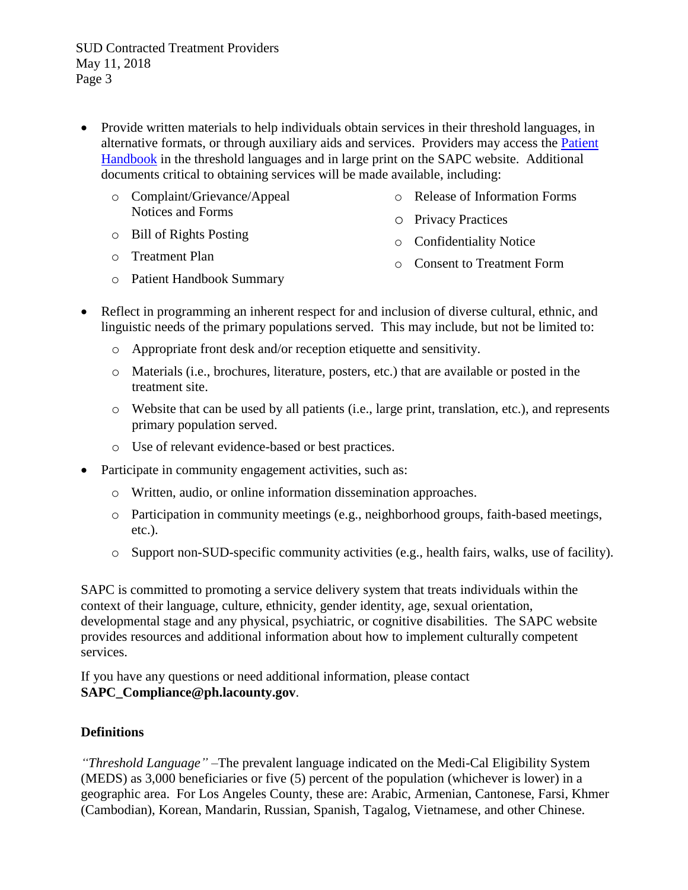SUD Contracted Treatment Providers May 11, 2018 Page 3

- Provide written materials to help individuals obtain services in their threshold languages, in alternative formats, or through auxiliary aids and services. Providers may access the [Patient](http://publichealth.lacounty.gov/sapc/PatientPublic.htm)  [Handbook](http://publichealth.lacounty.gov/sapc/PatientPublic.htm) in the threshold languages and in large print on the SAPC website. Additional documents critical to obtaining services will be made available, including:
	- o Complaint/Grievance/Appeal Notices and Forms
- o Release of Information Forms
- o Privacy Practices
- o Bill of Rights Posting o Confidentiality Notice
- o Treatment Plan o Consent to Treatment Form
- o Patient Handbook Summary
- Reflect in programming an inherent respect for and inclusion of diverse cultural, ethnic, and linguistic needs of the primary populations served. This may include, but not be limited to:
	- o Appropriate front desk and/or reception etiquette and sensitivity.
	- o Materials (i.e., brochures, literature, posters, etc.) that are available or posted in the treatment site.
	- o Website that can be used by all patients (i.e., large print, translation, etc.), and represents primary population served.
	- o Use of relevant evidence-based or best practices.
- Participate in community engagement activities, such as:
	- o Written, audio, or online information dissemination approaches.
	- o Participation in community meetings (e.g., neighborhood groups, faith-based meetings, etc.).
	- o Support non-SUD-specific community activities (e.g., health fairs, walks, use of facility).

SAPC is committed to promoting a service delivery system that treats individuals within the context of their language, culture, ethnicity, gender identity, age, sexual orientation, developmental stage and any physical, psychiatric, or cognitive disabilities. The SAPC website provides resources and additional information about how to implement culturally competent services.

If you have any questions or need additional information, please contact **SAPC\_Compliance@ph.lacounty.gov**.

## **Definitions**

*"Threshold Language"* –The prevalent language indicated on the Medi-Cal Eligibility System (MEDS) as 3,000 beneficiaries or five (5) percent of the population (whichever is lower) in a geographic area. For Los Angeles County, these are: Arabic, Armenian, Cantonese, Farsi, Khmer (Cambodian), Korean, Mandarin, Russian, Spanish, Tagalog, Vietnamese, and other Chinese.